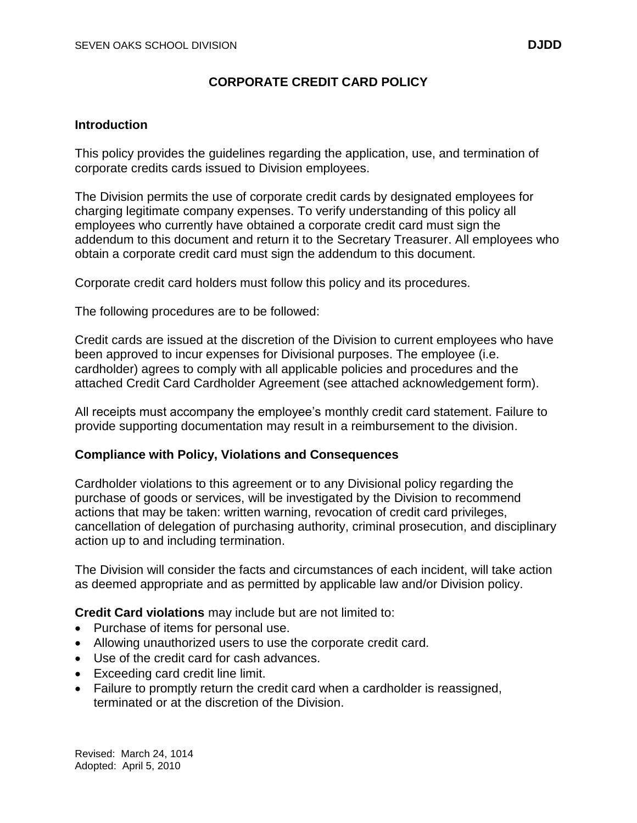# **CORPORATE CREDIT CARD POLICY**

### **Introduction**

This policy provides the guidelines regarding the application, use, and termination of corporate credits cards issued to Division employees.

The Division permits the use of corporate credit cards by designated employees for charging legitimate company expenses. To verify understanding of this policy all employees who currently have obtained a corporate credit card must sign the addendum to this document and return it to the Secretary Treasurer. All employees who obtain a corporate credit card must sign the addendum to this document.

Corporate credit card holders must follow this policy and its procedures.

The following procedures are to be followed:

Credit cards are issued at the discretion of the Division to current employees who have been approved to incur expenses for Divisional purposes. The employee (i.e. cardholder) agrees to comply with all applicable policies and procedures and the attached Credit Card Cardholder Agreement (see attached acknowledgement form).

All receipts must accompany the employee's monthly credit card statement. Failure to provide supporting documentation may result in a reimbursement to the division.

### **Compliance with Policy, Violations and Consequences**

Cardholder violations to this agreement or to any Divisional policy regarding the purchase of goods or services, will be investigated by the Division to recommend actions that may be taken: written warning, revocation of credit card privileges, cancellation of delegation of purchasing authority, criminal prosecution, and disciplinary action up to and including termination.

The Division will consider the facts and circumstances of each incident, will take action as deemed appropriate and as permitted by applicable law and/or Division policy.

**Credit Card violations** may include but are not limited to:

- Purchase of items for personal use.
- Allowing unauthorized users to use the corporate credit card.
- Use of the credit card for cash advances.
- Exceeding card credit line limit.
- Failure to promptly return the credit card when a cardholder is reassigned, terminated or at the discretion of the Division.

Revised: March 24, 1014 Adopted: April 5, 2010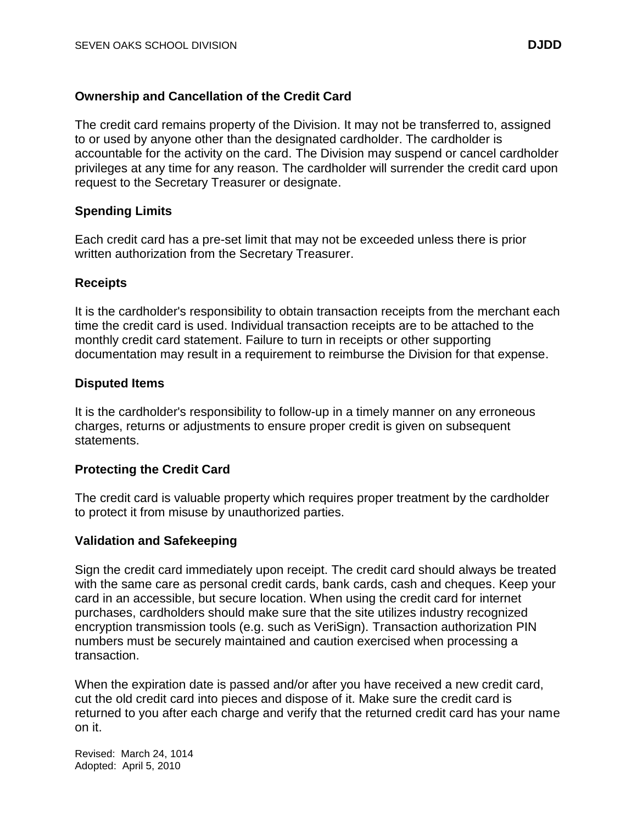# **Ownership and Cancellation of the Credit Card**

The credit card remains property of the Division. It may not be transferred to, assigned to or used by anyone other than the designated cardholder. The cardholder is accountable for the activity on the card. The Division may suspend or cancel cardholder privileges at any time for any reason. The cardholder will surrender the credit card upon request to the Secretary Treasurer or designate.

### **Spending Limits**

Each credit card has a pre-set limit that may not be exceeded unless there is prior written authorization from the Secretary Treasurer.

### **Receipts**

It is the cardholder's responsibility to obtain transaction receipts from the merchant each time the credit card is used. Individual transaction receipts are to be attached to the monthly credit card statement. Failure to turn in receipts or other supporting documentation may result in a requirement to reimburse the Division for that expense.

### **Disputed Items**

It is the cardholder's responsibility to follow-up in a timely manner on any erroneous charges, returns or adjustments to ensure proper credit is given on subsequent statements.

# **Protecting the Credit Card**

The credit card is valuable property which requires proper treatment by the cardholder to protect it from misuse by unauthorized parties.

### **Validation and Safekeeping**

Sign the credit card immediately upon receipt. The credit card should always be treated with the same care as personal credit cards, bank cards, cash and cheques. Keep your card in an accessible, but secure location. When using the credit card for internet purchases, cardholders should make sure that the site utilizes industry recognized encryption transmission tools (e.g. such as VeriSign). Transaction authorization PIN numbers must be securely maintained and caution exercised when processing a transaction.

When the expiration date is passed and/or after you have received a new credit card, cut the old credit card into pieces and dispose of it. Make sure the credit card is returned to you after each charge and verify that the returned credit card has your name on it.

Revised: March 24, 1014 Adopted: April 5, 2010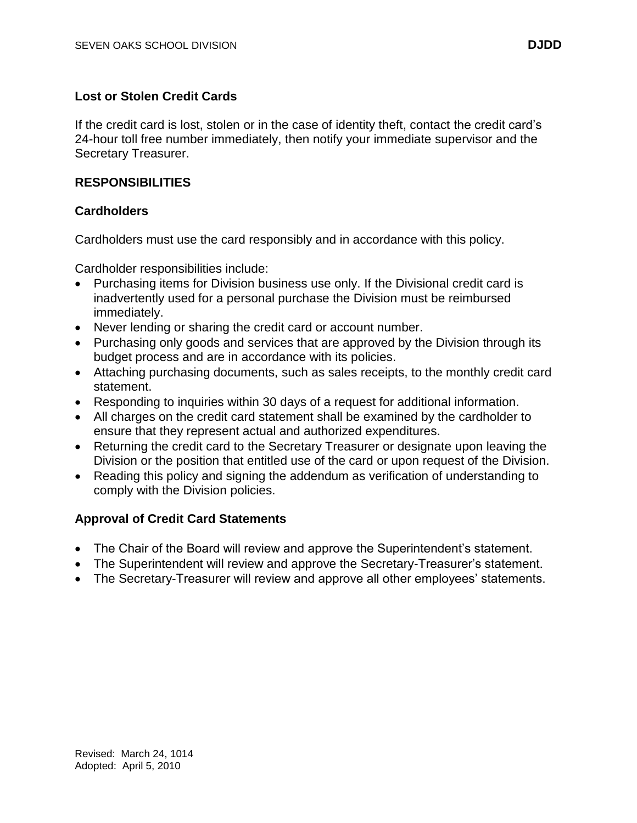# **Lost or Stolen Credit Cards**

If the credit card is lost, stolen or in the case of identity theft, contact the credit card's 24-hour toll free number immediately, then notify your immediate supervisor and the Secretary Treasurer.

### **RESPONSIBILITIES**

### **Cardholders**

Cardholders must use the card responsibly and in accordance with this policy.

Cardholder responsibilities include:

- Purchasing items for Division business use only. If the Divisional credit card is inadvertently used for a personal purchase the Division must be reimbursed immediately.
- Never lending or sharing the credit card or account number.
- Purchasing only goods and services that are approved by the Division through its budget process and are in accordance with its policies.
- Attaching purchasing documents, such as sales receipts, to the monthly credit card statement.
- Responding to inquiries within 30 days of a request for additional information.
- All charges on the credit card statement shall be examined by the cardholder to ensure that they represent actual and authorized expenditures.
- Returning the credit card to the Secretary Treasurer or designate upon leaving the Division or the position that entitled use of the card or upon request of the Division.
- Reading this policy and signing the addendum as verification of understanding to comply with the Division policies.

### **Approval of Credit Card Statements**

- The Chair of the Board will review and approve the Superintendent's statement.
- The Superintendent will review and approve the Secretary-Treasurer's statement.
- The Secretary-Treasurer will review and approve all other employees' statements.